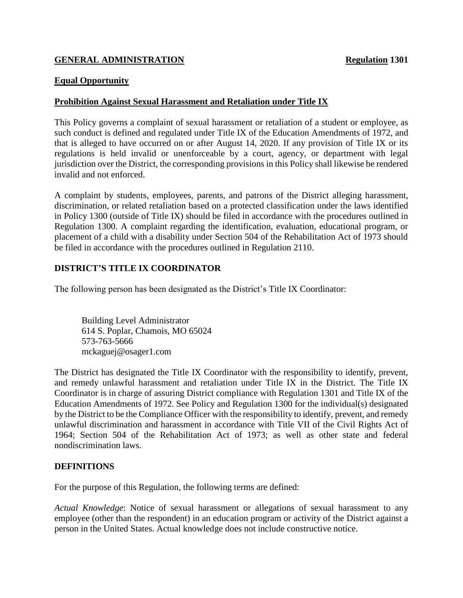## **GENERAL ADMINISTRATION Regulation 1301**

### **Equal Opportunity**

### **Prohibition Against Sexual Harassment and Retaliation under Title IX**

This Policy governs a complaint of sexual harassment or retaliation of a student or employee, as such conduct is defined and regulated under Title IX of the Education Amendments of 1972, and that is alleged to have occurred on or after August 14, 2020. If any provision of Title IX or its regulations is held invalid or unenforceable by a court, agency, or department with legal jurisdiction over the District, the corresponding provisions in this Policy shall likewise be rendered invalid and not enforced.

A complaint by students, employees, parents, and patrons of the District alleging harassment, discrimination, or related retaliation based on a protected classification under the laws identified in Policy 1300 (outside of Title IX) should be filed in accordance with the procedures outlined in Regulation 1300. A complaint regarding the identification, evaluation, educational program, or placement of a child with a disability under Section 504 of the Rehabilitation Act of 1973 should be filed in accordance with the procedures outlined in Regulation 2110.

## **DISTRICT'S TITLE IX COORDINATOR**

The following person has been designated as the District's Title IX Coordinator:

Building Level Administrator 614 S. Poplar, Chamois, MO 65024 573-763-5666 mckaguej@osager1.com

The District has designated the Title IX Coordinator with the responsibility to identify, prevent, and remedy unlawful harassment and retaliation under Title IX in the District. The Title IX Coordinator is in charge of assuring District compliance with Regulation 1301 and Title IX of the Education Amendments of 1972. See Policy and Regulation 1300 for the individual(s) designated by the District to be the Compliance Officer with the responsibility to identify, prevent, and remedy unlawful discrimination and harassment in accordance with Title VII of the Civil Rights Act of 1964; Section 504 of the Rehabilitation Act of 1973; as well as other state and federal nondiscrimination laws.

#### **DEFINITIONS**

For the purpose of this Regulation, the following terms are defined:

*Actual Knowledge*: Notice of sexual harassment or allegations of sexual harassment to any employee (other than the respondent) in an education program or activity of the District against a person in the United States. Actual knowledge does not include constructive notice.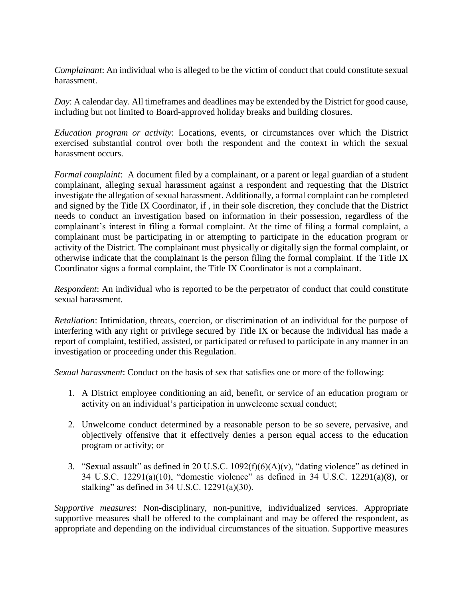*Complainant*: An individual who is alleged to be the victim of conduct that could constitute sexual harassment.

*Day*: A calendar day. All timeframes and deadlines may be extended by the District for good cause, including but not limited to Board-approved holiday breaks and building closures.

*Education program or activity*: Locations, events, or circumstances over which the District exercised substantial control over both the respondent and the context in which the sexual harassment occurs.

*Formal complaint*: A document filed by a complainant, or a parent or legal guardian of a student complainant, alleging sexual harassment against a respondent and requesting that the District investigate the allegation of sexual harassment. Additionally, a formal complaint can be completed and signed by the Title IX Coordinator, if , in their sole discretion, they conclude that the District needs to conduct an investigation based on information in their possession, regardless of the complainant's interest in filing a formal complaint. At the time of filing a formal complaint, a complainant must be participating in or attempting to participate in the education program or activity of the District. The complainant must physically or digitally sign the formal complaint, or otherwise indicate that the complainant is the person filing the formal complaint. If the Title IX Coordinator signs a formal complaint, the Title IX Coordinator is not a complainant.

*Respondent*: An individual who is reported to be the perpetrator of conduct that could constitute sexual harassment.

*Retaliation*: Intimidation, threats, coercion, or discrimination of an individual for the purpose of interfering with any right or privilege secured by Title IX or because the individual has made a report of complaint, testified, assisted, or participated or refused to participate in any manner in an investigation or proceeding under this Regulation.

*Sexual harassment*: Conduct on the basis of sex that satisfies one or more of the following:

- 1. A District employee conditioning an aid, benefit, or service of an education program or activity on an individual's participation in unwelcome sexual conduct;
- 2. Unwelcome conduct determined by a reasonable person to be so severe, pervasive, and objectively offensive that it effectively denies a person equal access to the education program or activity; or
- 3. "Sexual assault" as defined in 20 U.S.C.  $1092(f)(6)(A)(v)$ , "dating violence" as defined in 34 U.S.C. 12291(a)(10), "domestic violence" as defined in 34 U.S.C. 12291(a)(8), or stalking" as defined in 34 U.S.C. 12291(a)(30).

*Supportive measures*: Non-disciplinary, non-punitive, individualized services. Appropriate supportive measures shall be offered to the complainant and may be offered the respondent, as appropriate and depending on the individual circumstances of the situation. Supportive measures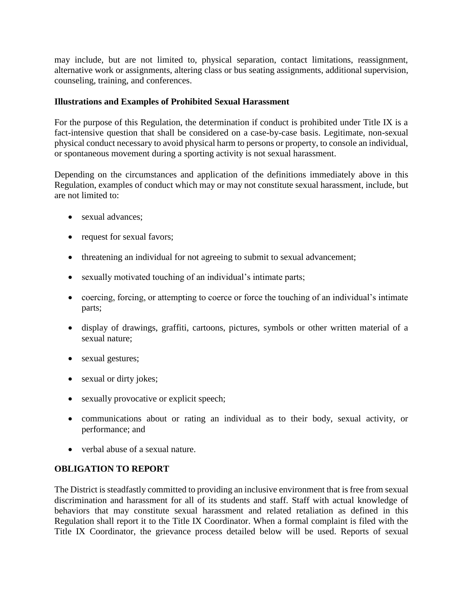may include, but are not limited to, physical separation, contact limitations, reassignment, alternative work or assignments, altering class or bus seating assignments, additional supervision, counseling, training, and conferences.

### **Illustrations and Examples of Prohibited Sexual Harassment**

For the purpose of this Regulation, the determination if conduct is prohibited under Title IX is a fact-intensive question that shall be considered on a case-by-case basis. Legitimate, non-sexual physical conduct necessary to avoid physical harm to persons or property, to console an individual, or spontaneous movement during a sporting activity is not sexual harassment.

Depending on the circumstances and application of the definitions immediately above in this Regulation, examples of conduct which may or may not constitute sexual harassment, include, but are not limited to:

- sexual advances:
- request for sexual favors;
- threatening an individual for not agreeing to submit to sexual advancement;
- sexually motivated touching of an individual's intimate parts;
- coercing, forcing, or attempting to coerce or force the touching of an individual's intimate parts;
- display of drawings, graffiti, cartoons, pictures, symbols or other written material of a sexual nature;
- sexual gestures;
- sexual or dirty jokes;
- sexually provocative or explicit speech;
- communications about or rating an individual as to their body, sexual activity, or performance; and
- verbal abuse of a sexual nature.

#### **OBLIGATION TO REPORT**

The District is steadfastly committed to providing an inclusive environment that is free from sexual discrimination and harassment for all of its students and staff. Staff with actual knowledge of behaviors that may constitute sexual harassment and related retaliation as defined in this Regulation shall report it to the Title IX Coordinator. When a formal complaint is filed with the Title IX Coordinator, the grievance process detailed below will be used. Reports of sexual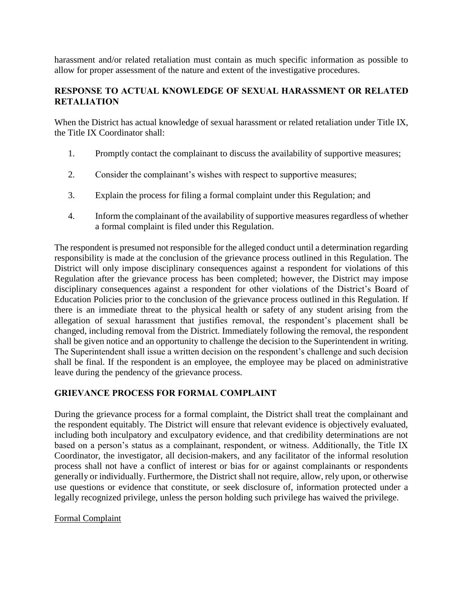harassment and/or related retaliation must contain as much specific information as possible to allow for proper assessment of the nature and extent of the investigative procedures.

## **RESPONSE TO ACTUAL KNOWLEDGE OF SEXUAL HARASSMENT OR RELATED RETALIATION**

When the District has actual knowledge of sexual harassment or related retaliation under Title IX, the Title IX Coordinator shall:

- 1. Promptly contact the complainant to discuss the availability of supportive measures;
- 2. Consider the complainant's wishes with respect to supportive measures;
- 3. Explain the process for filing a formal complaint under this Regulation; and
- 4. Inform the complainant of the availability of supportive measures regardless of whether a formal complaint is filed under this Regulation.

The respondent is presumed not responsible for the alleged conduct until a determination regarding responsibility is made at the conclusion of the grievance process outlined in this Regulation. The District will only impose disciplinary consequences against a respondent for violations of this Regulation after the grievance process has been completed; however, the District may impose disciplinary consequences against a respondent for other violations of the District's Board of Education Policies prior to the conclusion of the grievance process outlined in this Regulation. If there is an immediate threat to the physical health or safety of any student arising from the allegation of sexual harassment that justifies removal, the respondent's placement shall be changed, including removal from the District. Immediately following the removal, the respondent shall be given notice and an opportunity to challenge the decision to the Superintendent in writing. The Superintendent shall issue a written decision on the respondent's challenge and such decision shall be final. If the respondent is an employee, the employee may be placed on administrative leave during the pendency of the grievance process.

## **GRIEVANCE PROCESS FOR FORMAL COMPLAINT**

During the grievance process for a formal complaint, the District shall treat the complainant and the respondent equitably. The District will ensure that relevant evidence is objectively evaluated, including both inculpatory and exculpatory evidence, and that credibility determinations are not based on a person's status as a complainant, respondent, or witness. Additionally, the Title IX Coordinator, the investigator, all decision-makers, and any facilitator of the informal resolution process shall not have a conflict of interest or bias for or against complainants or respondents generally or individually. Furthermore, the District shall not require, allow, rely upon, or otherwise use questions or evidence that constitute, or seek disclosure of, information protected under a legally recognized privilege, unless the person holding such privilege has waived the privilege.

## Formal Complaint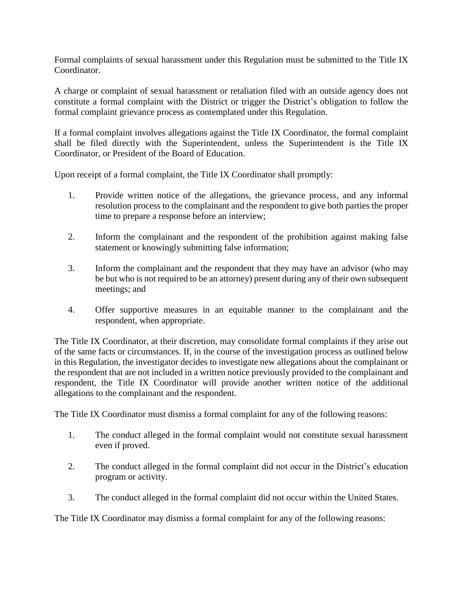Formal complaints of sexual harassment under this Regulation must be submitted to the Title IX Coordinator.

A charge or complaint of sexual harassment or retaliation filed with an outside agency does not constitute a formal complaint with the District or trigger the District's obligation to follow the formal complaint grievance process as contemplated under this Regulation.

If a formal complaint involves allegations against the Title IX Coordinator, the formal complaint shall be filed directly with the Superintendent, unless the Superintendent is the Title IX Coordinator, or President of the Board of Education.

Upon receipt of a formal complaint, the Title IX Coordinator shall promptly:

- 1. Provide written notice of the allegations, the grievance process, and any informal resolution process to the complainant and the respondent to give both parties the proper time to prepare a response before an interview;
- 2. Inform the complainant and the respondent of the prohibition against making false statement or knowingly submitting false information;
- 3. Inform the complainant and the respondent that they may have an advisor (who may be but who is not required to be an attorney) present during any of their own subsequent meetings; and
- 4. Offer supportive measures in an equitable manner to the complainant and the respondent, when appropriate.

The Title IX Coordinator, at their discretion, may consolidate formal complaints if they arise out of the same facts or circumstances. If, in the course of the investigation process as outlined below in this Regulation, the investigator decides to investigate new allegations about the complainant or the respondent that are not included in a written notice previously provided to the complainant and respondent, the Title IX Coordinator will provide another written notice of the additional allegations to the complainant and the respondent.

The Title IX Coordinator must dismiss a formal complaint for any of the following reasons:

- 1. The conduct alleged in the formal complaint would not constitute sexual harassment even if proved.
- 2. The conduct alleged in the formal complaint did not occur in the District's education program or activity.
- 3. The conduct alleged in the formal complaint did not occur within the United States.

The Title IX Coordinator may dismiss a formal complaint for any of the following reasons: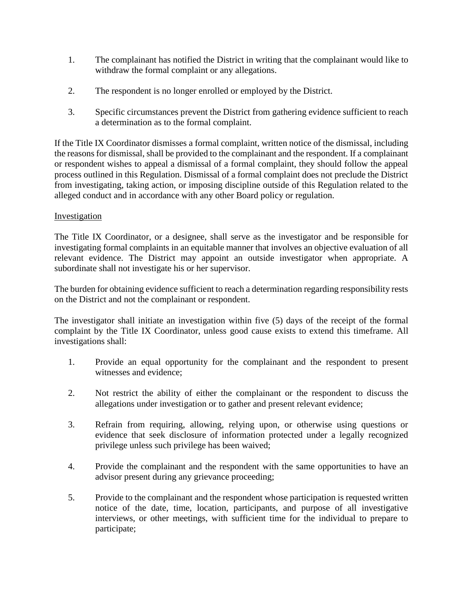- 1. The complainant has notified the District in writing that the complainant would like to withdraw the formal complaint or any allegations.
- 2. The respondent is no longer enrolled or employed by the District.
- 3. Specific circumstances prevent the District from gathering evidence sufficient to reach a determination as to the formal complaint.

If the Title IX Coordinator dismisses a formal complaint, written notice of the dismissal, including the reasons for dismissal, shall be provided to the complainant and the respondent. If a complainant or respondent wishes to appeal a dismissal of a formal complaint, they should follow the appeal process outlined in this Regulation. Dismissal of a formal complaint does not preclude the District from investigating, taking action, or imposing discipline outside of this Regulation related to the alleged conduct and in accordance with any other Board policy or regulation.

### Investigation

The Title IX Coordinator, or a designee, shall serve as the investigator and be responsible for investigating formal complaints in an equitable manner that involves an objective evaluation of all relevant evidence. The District may appoint an outside investigator when appropriate. A subordinate shall not investigate his or her supervisor.

The burden for obtaining evidence sufficient to reach a determination regarding responsibility rests on the District and not the complainant or respondent.

The investigator shall initiate an investigation within five (5) days of the receipt of the formal complaint by the Title IX Coordinator, unless good cause exists to extend this timeframe. All investigations shall:

- 1. Provide an equal opportunity for the complainant and the respondent to present witnesses and evidence;
- 2. Not restrict the ability of either the complainant or the respondent to discuss the allegations under investigation or to gather and present relevant evidence;
- 3. Refrain from requiring, allowing, relying upon, or otherwise using questions or evidence that seek disclosure of information protected under a legally recognized privilege unless such privilege has been waived;
- 4. Provide the complainant and the respondent with the same opportunities to have an advisor present during any grievance proceeding;
- 5. Provide to the complainant and the respondent whose participation is requested written notice of the date, time, location, participants, and purpose of all investigative interviews, or other meetings, with sufficient time for the individual to prepare to participate;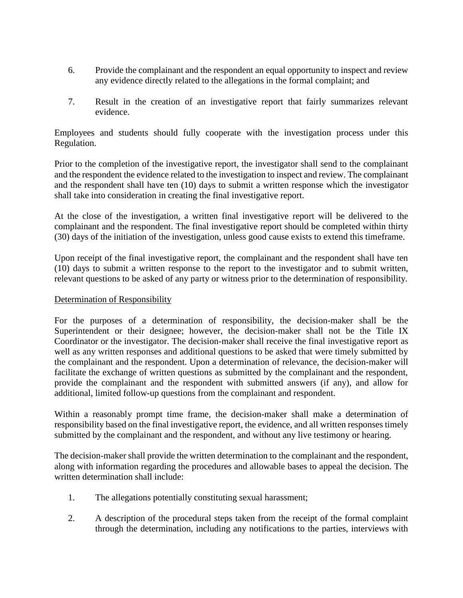- 6. Provide the complainant and the respondent an equal opportunity to inspect and review any evidence directly related to the allegations in the formal complaint; and
- 7. Result in the creation of an investigative report that fairly summarizes relevant evidence.

Employees and students should fully cooperate with the investigation process under this Regulation.

Prior to the completion of the investigative report, the investigator shall send to the complainant and the respondent the evidence related to the investigation to inspect and review. The complainant and the respondent shall have ten (10) days to submit a written response which the investigator shall take into consideration in creating the final investigative report.

At the close of the investigation, a written final investigative report will be delivered to the complainant and the respondent. The final investigative report should be completed within thirty (30) days of the initiation of the investigation, unless good cause exists to extend this timeframe.

Upon receipt of the final investigative report, the complainant and the respondent shall have ten (10) days to submit a written response to the report to the investigator and to submit written, relevant questions to be asked of any party or witness prior to the determination of responsibility.

#### Determination of Responsibility

For the purposes of a determination of responsibility, the decision-maker shall be the Superintendent or their designee; however, the decision-maker shall not be the Title IX Coordinator or the investigator. The decision-maker shall receive the final investigative report as well as any written responses and additional questions to be asked that were timely submitted by the complainant and the respondent. Upon a determination of relevance, the decision-maker will facilitate the exchange of written questions as submitted by the complainant and the respondent, provide the complainant and the respondent with submitted answers (if any), and allow for additional, limited follow-up questions from the complainant and respondent.

Within a reasonably prompt time frame, the decision-maker shall make a determination of responsibility based on the final investigative report, the evidence, and all written responses timely submitted by the complainant and the respondent, and without any live testimony or hearing.

The decision-maker shall provide the written determination to the complainant and the respondent, along with information regarding the procedures and allowable bases to appeal the decision. The written determination shall include:

- 1. The allegations potentially constituting sexual harassment;
- 2. A description of the procedural steps taken from the receipt of the formal complaint through the determination, including any notifications to the parties, interviews with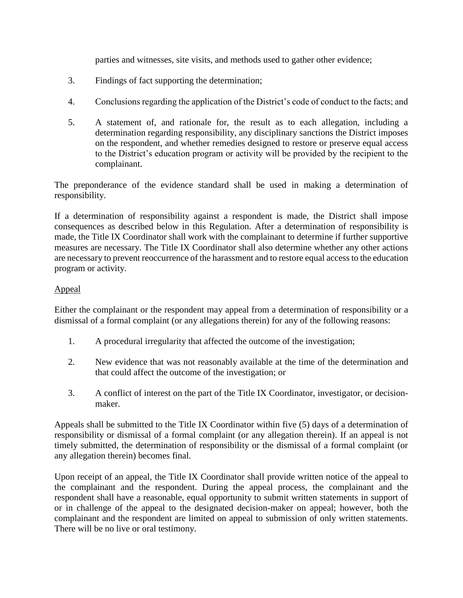parties and witnesses, site visits, and methods used to gather other evidence;

- 3. Findings of fact supporting the determination;
- 4. Conclusions regarding the application of the District's code of conduct to the facts; and
- 5. A statement of, and rationale for, the result as to each allegation, including a determination regarding responsibility, any disciplinary sanctions the District imposes on the respondent, and whether remedies designed to restore or preserve equal access to the District's education program or activity will be provided by the recipient to the complainant.

The preponderance of the evidence standard shall be used in making a determination of responsibility.

If a determination of responsibility against a respondent is made, the District shall impose consequences as described below in this Regulation. After a determination of responsibility is made, the Title IX Coordinator shall work with the complainant to determine if further supportive measures are necessary. The Title IX Coordinator shall also determine whether any other actions are necessary to prevent reoccurrence of the harassment and to restore equal access to the education program or activity.

### Appeal

Either the complainant or the respondent may appeal from a determination of responsibility or a dismissal of a formal complaint (or any allegations therein) for any of the following reasons:

- 1. A procedural irregularity that affected the outcome of the investigation;
- 2. New evidence that was not reasonably available at the time of the determination and that could affect the outcome of the investigation; or
- 3. A conflict of interest on the part of the Title IX Coordinator, investigator, or decisionmaker.

Appeals shall be submitted to the Title IX Coordinator within five (5) days of a determination of responsibility or dismissal of a formal complaint (or any allegation therein). If an appeal is not timely submitted, the determination of responsibility or the dismissal of a formal complaint (or any allegation therein) becomes final.

Upon receipt of an appeal, the Title IX Coordinator shall provide written notice of the appeal to the complainant and the respondent. During the appeal process, the complainant and the respondent shall have a reasonable, equal opportunity to submit written statements in support of or in challenge of the appeal to the designated decision-maker on appeal; however, both the complainant and the respondent are limited on appeal to submission of only written statements. There will be no live or oral testimony.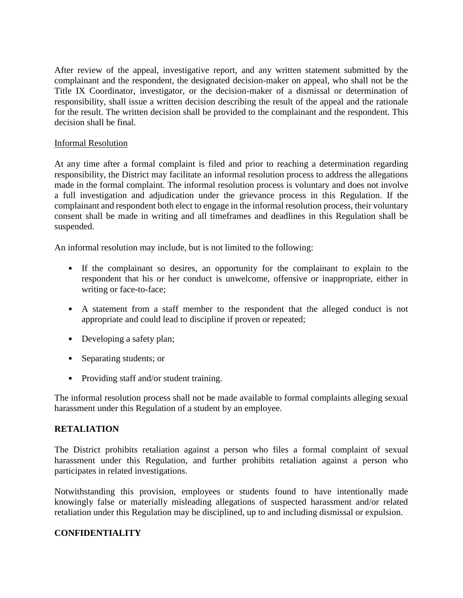After review of the appeal, investigative report, and any written statement submitted by the complainant and the respondent, the designated decision-maker on appeal, who shall not be the Title IX Coordinator, investigator, or the decision-maker of a dismissal or determination of responsibility, shall issue a written decision describing the result of the appeal and the rationale for the result. The written decision shall be provided to the complainant and the respondent. This decision shall be final.

### Informal Resolution

At any time after a formal complaint is filed and prior to reaching a determination regarding responsibility, the District may facilitate an informal resolution process to address the allegations made in the formal complaint. The informal resolution process is voluntary and does not involve a full investigation and adjudication under the grievance process in this Regulation. If the complainant and respondent both elect to engage in the informal resolution process, their voluntary consent shall be made in writing and all timeframes and deadlines in this Regulation shall be suspended.

An informal resolution may include, but is not limited to the following:

- If the complainant so desires, an opportunity for the complainant to explain to the respondent that his or her conduct is unwelcome, offensive or inappropriate, either in writing or face-to-face;
- A statement from a staff member to the respondent that the alleged conduct is not appropriate and could lead to discipline if proven or repeated;
- Developing a safety plan;
- Separating students; or
- Providing staff and/or student training.

The informal resolution process shall not be made available to formal complaints alleging sexual harassment under this Regulation of a student by an employee.

#### **RETALIATION**

The District prohibits retaliation against a person who files a formal complaint of sexual harassment under this Regulation, and further prohibits retaliation against a person who participates in related investigations.

Notwithstanding this provision, employees or students found to have intentionally made knowingly false or materially misleading allegations of suspected harassment and/or related retaliation under this Regulation may be disciplined, up to and including dismissal or expulsion.

## **CONFIDENTIALITY**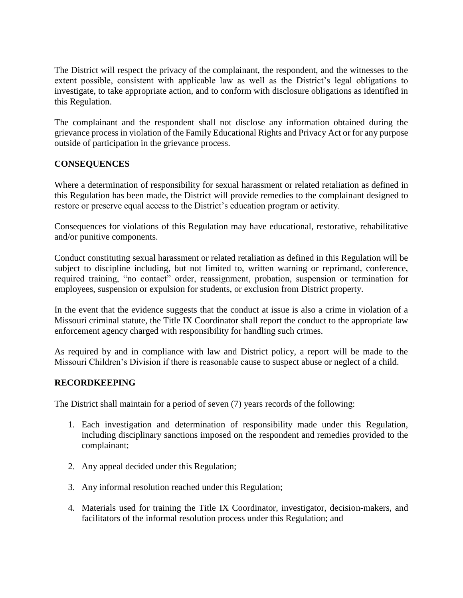The District will respect the privacy of the complainant, the respondent, and the witnesses to the extent possible, consistent with applicable law as well as the District's legal obligations to investigate, to take appropriate action, and to conform with disclosure obligations as identified in this Regulation.

The complainant and the respondent shall not disclose any information obtained during the grievance process in violation of the Family Educational Rights and Privacy Act or for any purpose outside of participation in the grievance process.

## **CONSEQUENCES**

Where a determination of responsibility for sexual harassment or related retaliation as defined in this Regulation has been made, the District will provide remedies to the complainant designed to restore or preserve equal access to the District's education program or activity.

Consequences for violations of this Regulation may have educational, restorative, rehabilitative and/or punitive components.

Conduct constituting sexual harassment or related retaliation as defined in this Regulation will be subject to discipline including, but not limited to, written warning or reprimand, conference, required training, "no contact" order, reassignment, probation, suspension or termination for employees, suspension or expulsion for students, or exclusion from District property.

In the event that the evidence suggests that the conduct at issue is also a crime in violation of a Missouri criminal statute, the Title IX Coordinator shall report the conduct to the appropriate law enforcement agency charged with responsibility for handling such crimes.

As required by and in compliance with law and District policy, a report will be made to the Missouri Children's Division if there is reasonable cause to suspect abuse or neglect of a child.

#### **RECORDKEEPING**

The District shall maintain for a period of seven (7) years records of the following:

- 1. Each investigation and determination of responsibility made under this Regulation, including disciplinary sanctions imposed on the respondent and remedies provided to the complainant;
- 2. Any appeal decided under this Regulation;
- 3. Any informal resolution reached under this Regulation;
- 4. Materials used for training the Title IX Coordinator, investigator, decision-makers, and facilitators of the informal resolution process under this Regulation; and